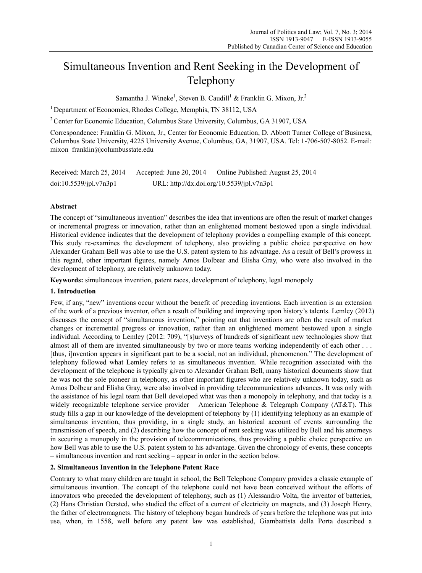# Simultaneous Invention and Rent Seeking in the Development of Telephony

Samantha J. Wineke<sup>1</sup>, Steven B. Caudill<sup>1</sup> & Franklin G. Mixon, Jr.<sup>2</sup>

<sup>1</sup> Department of Economics, Rhodes College, Memphis, TN 38112, USA

<sup>2</sup> Center for Economic Education, Columbus State University, Columbus, GA 31907, USA

Correspondence: Franklin G. Mixon, Jr., Center for Economic Education, D. Abbott Turner College of Business, Columbus State University, 4225 University Avenue, Columbus, GA, 31907, USA. Tel: 1-706-507-8052. E-mail: mixon franklin@columbusstate.edu

| Received: March 25, 2014 | Accepted: June 20, 2014                   | Online Published: August 25, 2014 |
|--------------------------|-------------------------------------------|-----------------------------------|
| doi:10.5539/ipl.v7n3p1   | URL: http://dx.doi.org/10.5539/jpl.v7n3p1 |                                   |

# **Abstract**

The concept of "simultaneous invention" describes the idea that inventions are often the result of market changes or incremental progress or innovation, rather than an enlightened moment bestowed upon a single individual. Historical evidence indicates that the development of telephony provides a compelling example of this concept. This study re-examines the development of telephony, also providing a public choice perspective on how Alexander Graham Bell was able to use the U.S. patent system to his advantage. As a result of Bell's prowess in this regard, other important figures, namely Amos Dolbear and Elisha Gray, who were also involved in the development of telephony, are relatively unknown today.

**Keywords:** simultaneous invention, patent races, development of telephony, legal monopoly

# **1. Introduction**

Few, if any, "new" inventions occur without the benefit of preceding inventions. Each invention is an extension of the work of a previous inventor, often a result of building and improving upon history's talents. Lemley (2012) discusses the concept of "simultaneous invention," pointing out that inventions are often the result of market changes or incremental progress or innovation, rather than an enlightened moment bestowed upon a single individual. According to Lemley (2012: 709), "[s]urveys of hundreds of significant new technologies show that almost all of them are invented simultaneously by two or more teams working independently of each other . . . [thus, i]nvention appears in significant part to be a social, not an individual, phenomenon." The development of telephony followed what Lemley refers to as simultaneous invention. While recognition associated with the development of the telephone is typically given to Alexander Graham Bell, many historical documents show that he was not the sole pioneer in telephony, as other important figures who are relatively unknown today, such as Amos Dolbear and Elisha Gray, were also involved in providing telecommunications advances. It was only with the assistance of his legal team that Bell developed what was then a monopoly in telephony, and that today is a widely recognizable telephone service provider – American Telephone & Telegraph Company (AT&T). This study fills a gap in our knowledge of the development of telephony by (1) identifying telephony as an example of simultaneous invention, thus providing, in a single study, an historical account of events surrounding the transmission of speech, and (2) describing how the concept of rent seeking was utilized by Bell and his attorneys in securing a monopoly in the provision of telecommunications, thus providing a public choice perspective on how Bell was able to use the U.S. patent system to his advantage. Given the chronology of events, these concepts – simultaneous invention and rent seeking – appear in order in the section below.

# **2. Simultaneous Invention in the Telephone Patent Race**

Contrary to what many children are taught in school, the Bell Telephone Company provides a classic example of simultaneous invention. The concept of the telephone could not have been conceived without the efforts of innovators who preceded the development of telephony, such as (1) Alessandro Volta, the inventor of batteries, (2) Hans Christian Oersted, who studied the effect of a current of electricity on magnets, and (3) Joseph Henry, the father of electromagnets. The history of telephony began hundreds of years before the telephone was put into use, when, in 1558, well before any patent law was established, Giambattista della Porta described a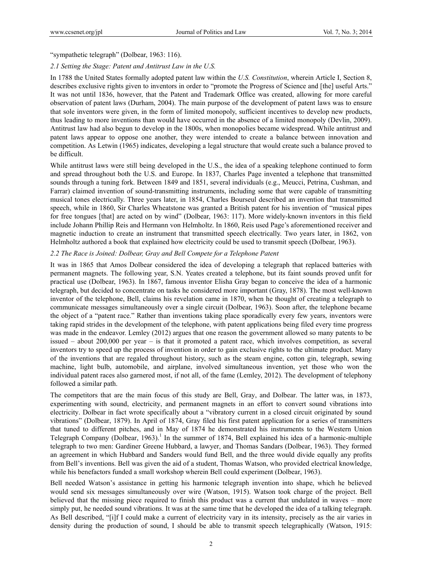#### "sympathetic telegraph" (Dolbear, 1963: 116).

#### *2.1 Setting the Stage: Patent and Antitrust Law in the U.S.*

In 1788 the United States formally adopted patent law within the *U.S. Constitution*, wherein Article I, Section 8, describes exclusive rights given to inventors in order to "promote the Progress of Science and [the] useful Arts." It was not until 1836, however, that the Patent and Trademark Office was created, allowing for more careful observation of patent laws (Durham, 2004). The main purpose of the development of patent laws was to ensure that sole inventors were given, in the form of limited monopoly, sufficient incentives to develop new products, thus leading to more inventions than would have occurred in the absence of a limited monopoly (Devlin, 2009). Antitrust law had also begun to develop in the 1800s, when monopolies became widespread. While antitrust and patent laws appear to oppose one another, they were intended to create a balance between innovation and competition. As Letwin (1965) indicates, developing a legal structure that would create such a balance proved to be difficult.

While antitrust laws were still being developed in the U.S., the idea of a speaking telephone continued to form and spread throughout both the U.S. and Europe. In 1837, Charles Page invented a telephone that transmitted sounds through a tuning fork. Between 1849 and 1851, several individuals (e.g., Meucci, Petrina, Cushman, and Farrar) claimed invention of sound-transmitting instruments, including some that were capable of transmitting musical tones electrically. Three years later, in 1854, Charles Bourseul described an invention that transmitted speech, while in 1860, Sir Charles Wheatstone was granted a British patent for his invention of "musical pipes for free tongues [that] are acted on by wind" (Dolbear, 1963: 117). More widely-known inventors in this field include Johann Phillip Reis and Hermann von Helmholtz. In 1860, Reis used Page's aforementioned receiver and magnetic induction to create an instrument that transmitted speech electrically. Two years later, in 1862, von Helmholtz authored a book that explained how electricity could be used to transmit speech (Dolbear, 1963).

### *2.2 The Race is Joined: Dolbear, Gray and Bell Compete for a Telephone Patent*

It was in 1865 that Amos Dolbear considered the idea of developing a telegraph that replaced batteries with permanent magnets. The following year, S.N. Yeates created a telephone, but its faint sounds proved unfit for practical use (Dolbear, 1963). In 1867, famous inventor Elisha Gray began to conceive the idea of a harmonic telegraph, but decided to concentrate on tasks he considered more important (Gray, 1878). The most well-known inventor of the telephone, Bell, claims his revelation came in 1870, when he thought of creating a telegraph to communicate messages simultaneously over a single circuit (Dolbear, 1963). Soon after, the telephone became the object of a "patent race." Rather than inventions taking place sporadically every few years, inventors were taking rapid strides in the development of the telephone, with patent applications being filed every time progress was made in the endeavor. Lemley (2012) argues that one reason the government allowed so many patents to be issued – about 200,000 per year – is that it promoted a patent race, which involves competition, as several inventors try to speed up the process of invention in order to gain exclusive rights to the ultimate product. Many of the inventions that are regaled throughout history, such as the steam engine, cotton gin, telegraph, sewing machine, light bulb, automobile, and airplane, involved simultaneous invention, yet those who won the individual patent races also garnered most, if not all, of the fame (Lemley, 2012). The development of telephony followed a similar path.

The competitors that are the main focus of this study are Bell, Gray, and Dolbear. The latter was, in 1873, experimenting with sound, electricity, and permanent magnets in an effort to convert sound vibrations into electricity. Dolbear in fact wrote specifically about a "vibratory current in a closed circuit originated by sound vibrations" (Dolbear, 1879). In April of 1874, Gray filed his first patent application for a series of transmitters that tuned to different pitches, and in May of 1874 he demonstrated his instruments to the Western Union Telegraph Company (Dolbear, 1963).<sup>1</sup> In the summer of 1874, Bell explained his idea of a harmonic-multiple telegraph to two men: Gardiner Greene Hubbard, a lawyer, and Thomas Sandars (Dolbear, 1963). They formed an agreement in which Hubbard and Sanders would fund Bell, and the three would divide equally any profits from Bell's inventions. Bell was given the aid of a student, Thomas Watson, who provided electrical knowledge, while his benefactors funded a small workshop wherein Bell could experiment (Dolbear, 1963).

Bell needed Watson's assistance in getting his harmonic telegraph invention into shape, which he believed would send six messages simultaneously over wire (Watson, 1915). Watson took charge of the project. Bell believed that the missing piece required to finish this product was a current that undulated in waves – more simply put, he needed sound vibrations. It was at the same time that he developed the idea of a talking telegraph. As Bell described, "[i]f I could make a current of electricity vary in its intensity, precisely as the air varies in density during the production of sound, I should be able to transmit speech telegraphically (Watson, 1915: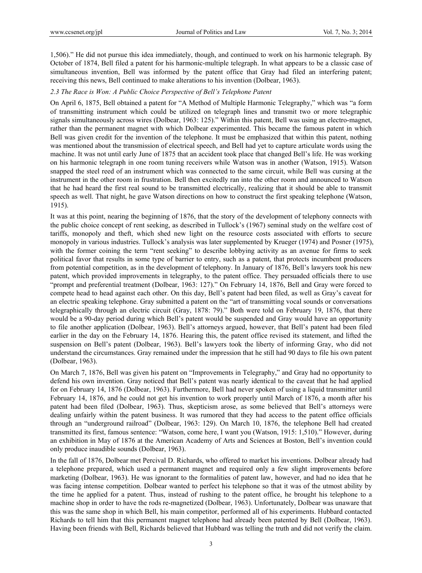1,506)." He did not pursue this idea immediately, though, and continued to work on his harmonic telegraph. By October of 1874, Bell filed a patent for his harmonic-multiple telegraph. In what appears to be a classic case of simultaneous invention, Bell was informed by the patent office that Gray had filed an interfering patent; receiving this news, Bell continued to make alterations to his invention (Dolbear, 1963).

## *2.3 The Race is Won: A Public Choice Perspective of Bell's Telephone Patent*

On April 6, 1875, Bell obtained a patent for "A Method of Multiple Harmonic Telegraphy," which was "a form of transmitting instrument which could be utilized on telegraph lines and transmit two or more telegraphic signals simultaneously across wires (Dolbear, 1963: 125)." Within this patent, Bell was using an electro-magnet, rather than the permanent magnet with which Dolbear experimented. This became the famous patent in which Bell was given credit for the invention of the telephone. It must be emphasized that within this patent, nothing was mentioned about the transmission of electrical speech, and Bell had yet to capture articulate words using the machine. It was not until early June of 1875 that an accident took place that changed Bell's life. He was working on his harmonic telegraph in one room tuning receivers while Watson was in another (Watson, 1915). Watson snapped the steel reed of an instrument which was connected to the same circuit, while Bell was cursing at the instrument in the other room in frustration. Bell then excitedly ran into the other room and announced to Watson that he had heard the first real sound to be transmitted electrically, realizing that it should be able to transmit speech as well. That night, he gave Watson directions on how to construct the first speaking telephone (Watson, 1915).

It was at this point, nearing the beginning of 1876, that the story of the development of telephony connects with the public choice concept of rent seeking, as described in Tullock's (1967) seminal study on the welfare cost of tariffs, monopoly and theft, which shed new light on the resource costs associated with efforts to secure monopoly in various industries. Tullock's analysis was later supplemented by Krueger (1974) and Posner (1975), with the former coining the term "rent seeking" to describe lobbying activity as an avenue for firms to seek political favor that results in some type of barrier to entry, such as a patent, that protects incumbent producers from potential competition, as in the development of telephony. In January of 1876, Bell's lawyers took his new patent, which provided improvements in telegraphy, to the patent office. They persuaded officials there to use "prompt and preferential treatment (Dolbear, 1963: 127)." On February 14, 1876, Bell and Gray were forced to compete head to head against each other. On this day, Bell's patent had been filed, as well as Gray's caveat for an electric speaking telephone. Gray submitted a patent on the "art of transmitting vocal sounds or conversations telegraphically through an electric circuit (Gray, 1878: 79)." Both were told on February 19, 1876, that there would be a 90-day period during which Bell's patent would be suspended and Gray would have an opportunity to file another application (Dolbear, 1963). Bell's attorneys argued, however, that Bell's patent had been filed earlier in the day on the February 14, 1876. Hearing this, the patent office revised its statement, and lifted the suspension on Bell's patent (Dolbear, 1963). Bell's lawyers took the liberty of informing Gray, who did not understand the circumstances. Gray remained under the impression that he still had 90 days to file his own patent (Dolbear, 1963).

On March 7, 1876, Bell was given his patent on "Improvements in Telegraphy," and Gray had no opportunity to defend his own invention. Gray noticed that Bell's patent was nearly identical to the caveat that he had applied for on February 14, 1876 (Dolbear, 1963). Furthermore, Bell had never spoken of using a liquid transmitter until February 14, 1876, and he could not get his invention to work properly until March of 1876, a month after his patent had been filed (Dolbear, 1963). Thus, skepticism arose, as some believed that Bell's attorneys were dealing unfairly within the patent business. It was rumored that they had access to the patent office officials through an "underground railroad" (Dolbear, 1963: 129). On March 10, 1876, the telephone Bell had created transmitted its first, famous sentence: "Watson, come here, I want you (Watson, 1915: 1,510)." However, during an exhibition in May of 1876 at the American Academy of Arts and Sciences at Boston, Bell's invention could only produce inaudible sounds (Dolbear, 1963).

In the fall of 1876, Dolbear met Percival D. Richards, who offered to market his inventions. Dolbear already had a telephone prepared, which used a permanent magnet and required only a few slight improvements before marketing (Dolbear, 1963). He was ignorant to the formalities of patent law, however, and had no idea that he was facing intense competition. Dolbear wanted to perfect his telephone so that it was of the utmost ability by the time he applied for a patent. Thus, instead of rushing to the patent office, he brought his telephone to a machine shop in order to have the rods re-magnetized (Dolbear, 1963). Unfortunately, Dolbear was unaware that this was the same shop in which Bell, his main competitor, performed all of his experiments. Hubbard contacted Richards to tell him that this permanent magnet telephone had already been patented by Bell (Dolbear, 1963). Having been friends with Bell, Richards believed that Hubbard was telling the truth and did not verify the claim.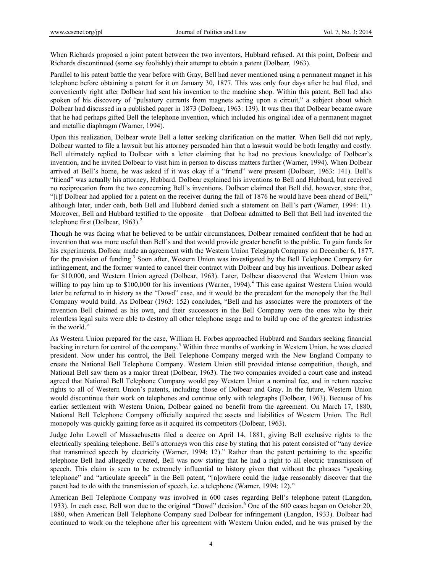When Richards proposed a joint patent between the two inventors, Hubbard refused. At this point, Dolbear and Richards discontinued (some say foolishly) their attempt to obtain a patent (Dolbear, 1963).

Parallel to his patent battle the year before with Gray, Bell had never mentioned using a permanent magnet in his telephone before obtaining a patent for it on January 30, 1877. This was only four days after he had filed, and conveniently right after Dolbear had sent his invention to the machine shop. Within this patent, Bell had also spoken of his discovery of "pulsatory currents from magnets acting upon a circuit," a subject about which Dolbear had discussed in a published paper in 1873 (Dolbear, 1963: 139). It was then that Dolbear became aware that he had perhaps gifted Bell the telephone invention, which included his original idea of a permanent magnet and metallic diaphragm (Warner, 1994).

Upon this realization, Dolbear wrote Bell a letter seeking clarification on the matter. When Bell did not reply, Dolbear wanted to file a lawsuit but his attorney persuaded him that a lawsuit would be both lengthy and costly. Bell ultimately replied to Dolbear with a letter claiming that he had no previous knowledge of Dolbear's invention, and he invited Dolbear to visit him in person to discuss matters further (Warner, 1994). When Dolbear arrived at Bell's home, he was asked if it was okay if a "friend" were present (Dolbear, 1963: 141). Bell's "friend" was actually his attorney, Hubbard. Dolbear explained his inventions to Bell and Hubbard, but received no reciprocation from the two concerning Bell's inventions. Dolbear claimed that Bell did, however, state that, "[i]f Dolbear had applied for a patent on the receiver during the fall of 1876 he would have been ahead of Bell," although later, under oath, both Bell and Hubbard denied such a statement on Bell's part (Warner, 1994: 11). Moreover, Bell and Hubbard testified to the opposite – that Dolbear admitted to Bell that Bell had invented the telephone first (Dolbear, 1963). $<sup>2</sup>$ </sup>

Though he was facing what he believed to be unfair circumstances, Dolbear remained confident that he had an invention that was more useful than Bell's and that would provide greater benefit to the public. To gain funds for his experiments, Dolbear made an agreement with the Western Union Telegraph Company on December 6, 1877, for the provision of funding.<sup>3</sup> Soon after, Western Union was investigated by the Bell Telephone Company for infringement, and the former wanted to cancel their contract with Dolbear and buy his inventions. Dolbear asked for \$10,000, and Western Union agreed (Dolbear, 1963). Later, Dolbear discovered that Western Union was willing to pay him up to \$100,000 for his inventions (Warner, 1994).<sup>4</sup> This case against Western Union would later be referred to in history as the "Dowd" case, and it would be the precedent for the monopoly that the Bell Company would build. As Dolbear (1963: 152) concludes, "Bell and his associates were the promoters of the invention Bell claimed as his own, and their successors in the Bell Company were the ones who by their relentless legal suits were able to destroy all other telephone usage and to build up one of the greatest industries in the world."

As Western Union prepared for the case, William H. Forbes approached Hubbard and Sandars seeking financial backing in return for control of the company.<sup>5</sup> Within three months of working in Western Union, he was elected president. Now under his control, the Bell Telephone Company merged with the New England Company to create the National Bell Telephone Company. Western Union still provided intense competition, though, and National Bell saw them as a major threat (Dolbear, 1963). The two companies avoided a court case and instead agreed that National Bell Telephone Company would pay Western Union a nominal fee, and in return receive rights to all of Western Union's patents, including those of Dolbear and Gray. In the future, Western Union would discontinue their work on telephones and continue only with telegraphs (Dolbear, 1963). Because of his earlier settlement with Western Union, Dolbear gained no benefit from the agreement. On March 17, 1880, National Bell Telephone Company officially acquired the assets and liabilities of Western Union. The Bell monopoly was quickly gaining force as it acquired its competitors (Dolbear, 1963).

Judge John Lowell of Massachusetts filed a decree on April 14, 1881, giving Bell exclusive rights to the electrically speaking telephone. Bell's attorneys won this case by stating that his patent consisted of "any device that transmitted speech by electricity (Warner, 1994: 12)." Rather than the patent pertaining to the specific telephone Bell had allegedly created, Bell was now stating that he had a right to all electric transmission of speech. This claim is seen to be extremely influential to history given that without the phrases "speaking telephone" and "articulate speech" in the Bell patent, "[n]owhere could the judge reasonably discover that the patent had to do with the transmission of speech, i.e. a telephone (Warner, 1994: 12)."

American Bell Telephone Company was involved in 600 cases regarding Bell's telephone patent (Langdon, 1933). In each case, Bell won due to the original "Dowd" decision.<sup>6</sup> One of the 600 cases began on October 20, 1880, when American Bell Telephone Company sued Dolbear for infringement (Langdon, 1933). Dolbear had continued to work on the telephone after his agreement with Western Union ended, and he was praised by the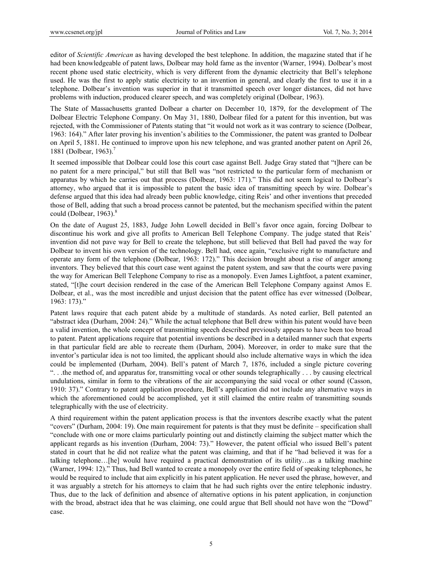editor of *Scientific American* as having developed the best telephone. In addition, the magazine stated that if he had been knowledgeable of patent laws, Dolbear may hold fame as the inventor (Warner, 1994). Dolbear's most recent phone used static electricity, which is very different from the dynamic electricity that Bell's telephone used. He was the first to apply static electricity to an invention in general, and clearly the first to use it in a telephone. Dolbear's invention was superior in that it transmitted speech over longer distances, did not have problems with induction, produced clearer speech, and was completely original (Dolbear, 1963).

The State of Massachusetts granted Dolbear a charter on December 10, 1879, for the development of The Dolbear Electric Telephone Company. On May 31, 1880, Dolbear filed for a patent for this invention, but was rejected, with the Commissioner of Patents stating that "it would not work as it was contrary to science (Dolbear, 1963: 164)." After later proving his invention's abilities to the Commissioner, the patent was granted to Dolbear on April 5, 1881. He continued to improve upon his new telephone, and was granted another patent on April 26, 1881 (Dolbear, 1963).<sup>7</sup>

It seemed impossible that Dolbear could lose this court case against Bell. Judge Gray stated that "t]here can be no patent for a mere principal," but still that Bell was "not restricted to the particular form of mechanism or apparatus by which he carries out that process (Dolbear, 1963: 171)." This did not seem logical to Dolbear's attorney, who argued that it is impossible to patent the basic idea of transmitting speech by wire. Dolbear's defense argued that this idea had already been public knowledge, citing Reis' and other inventions that preceded those of Bell, adding that such a broad process cannot be patented, but the mechanism specified within the patent could (Dolbear, 1963).<sup>8</sup>

On the date of August 25, 1883, Judge John Lowell decided in Bell's favor once again, forcing Dolbear to discontinue his work and give all profits to American Bell Telephone Company. The judge stated that Reis' invention did not pave way for Bell to create the telephone, but still believed that Bell had paved the way for Dolbear to invent his own version of the technology. Bell had, once again, "exclusive right to manufacture and operate any form of the telephone (Dolbear, 1963: 172)." This decision brought about a rise of anger among inventors. They believed that this court case went against the patent system, and saw that the courts were paving the way for American Bell Telephone Company to rise as a monopoly. Even James Lightfoot, a patent examiner, stated, "[t]he court decision rendered in the case of the American Bell Telephone Company against Amos E. Dolbear, et al., was the most incredible and unjust decision that the patent office has ever witnessed (Dolbear, 1963: 173)."

Patent laws require that each patent abide by a multitude of standards. As noted earlier, Bell patented an "abstract idea (Durham, 2004: 24)." While the actual telephone that Bell drew within his patent would have been a valid invention, the whole concept of transmitting speech described previously appears to have been too broad to patent. Patent applications require that potential inventions be described in a detailed manner such that experts in that particular field are able to recreate them (Durham, 2004). Moreover, in order to make sure that the inventor's particular idea is not too limited, the applicant should also include alternative ways in which the idea could be implemented (Durham, 2004). Bell's patent of March 7, 1876, included a single picture covering ". . .the method of, and apparatus for, transmitting vocal or other sounds telegraphically . . . by causing electrical undulations, similar in form to the vibrations of the air accompanying the said vocal or other sound (Casson, 1910: 37)." Contrary to patent application procedure, Bell's application did not include any alternative ways in which the aforementioned could be accomplished, yet it still claimed the entire realm of transmitting sounds telegraphically with the use of electricity.

A third requirement within the patent application process is that the inventors describe exactly what the patent "covers" (Durham, 2004: 19). One main requirement for patents is that they must be definite – specification shall "conclude with one or more claims particularly pointing out and distinctly claiming the subject matter which the applicant regards as his invention (Durham, 2004: 73)." However, the patent official who issued Bell's patent stated in court that he did not realize what the patent was claiming, and that if he "had believed it was for a talking telephone…[he] would have required a practical demonstration of its utility…as a talking machine (Warner, 1994: 12)." Thus, had Bell wanted to create a monopoly over the entire field of speaking telephones, he would be required to include that aim explicitly in his patent application. He never used the phrase, however, and it was arguably a stretch for his attorneys to claim that he had such rights over the entire telephonic industry. Thus, due to the lack of definition and absence of alternative options in his patent application, in conjunction with the broad, abstract idea that he was claiming, one could argue that Bell should not have won the "Dowd" case.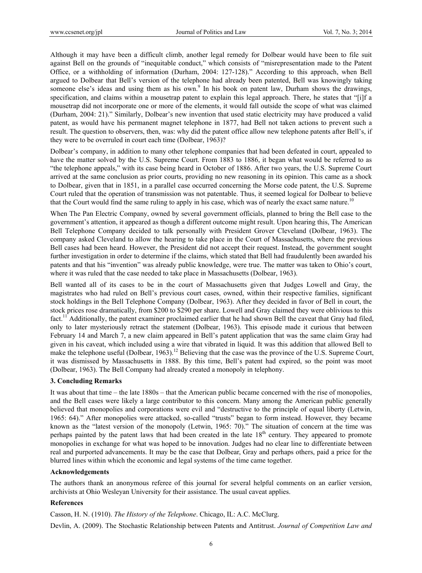Although it may have been a difficult climb, another legal remedy for Dolbear would have been to file suit against Bell on the grounds of "inequitable conduct," which consists of "misrepresentation made to the Patent Office, or a withholding of information (Durham, 2004: 127-128)." According to this approach, when Bell argued to Dolbear that Bell's version of the telephone had already been patented, Bell was knowingly taking someone else's ideas and using them as his own.<sup>9</sup> In his book on patent law, Durham shows the drawings, specification, and claims within a mousetrap patent to explain this legal approach. There, he states that "[i]f a mousetrap did not incorporate one or more of the elements, it would fall outside the scope of what was claimed (Durham, 2004: 21)." Similarly, Dolbear's new invention that used static electricity may have produced a valid patent, as would have his permanent magnet telephone in 1877, had Bell not taken actions to prevent such a result. The question to observers, then, was: why did the patent office allow new telephone patents after Bell's, if they were to be overruled in court each time (Dolbear, 1963)?

Dolbear's company, in addition to many other telephone companies that had been defeated in court, appealed to have the matter solved by the U.S. Supreme Court. From 1883 to 1886, it began what would be referred to as "the telephone appeals," with its case being heard in October of 1886. After two years, the U.S. Supreme Court arrived at the same conclusion as prior courts, providing no new reasoning in its opinion. This came as a shock to Dolbear, given that in 1851, in a parallel case occurred concerning the Morse code patent, the U.S. Supreme Court ruled that the operation of transmission was not patentable. Thus, it seemed logical for Dolbear to believe that the Court would find the same ruling to apply in his case, which was of nearly the exact same nature.<sup>10</sup>

When The Pan Electric Company, owned by several government officials, planned to bring the Bell case to the government's attention, it appeared as though a different outcome might result. Upon hearing this, The American Bell Telephone Company decided to talk personally with President Grover Cleveland (Dolbear, 1963). The company asked Cleveland to allow the hearing to take place in the Court of Massachusetts, where the previous Bell cases had been heard. However, the President did not accept their request. Instead, the government sought further investigation in order to determine if the claims, which stated that Bell had fraudulently been awarded his patents and that his "invention" was already public knowledge, were true. The matter was taken to Ohio's court, where it was ruled that the case needed to take place in Massachusetts (Dolbear, 1963).

Bell wanted all of its cases to be in the court of Massachusetts given that Judges Lowell and Gray, the magistrates who had ruled on Bell's previous court cases, owned, within their respective families, significant stock holdings in the Bell Telephone Company (Dolbear, 1963). After they decided in favor of Bell in court, the stock prices rose dramatically, from \$200 to \$290 per share. Lowell and Gray claimed they were oblivious to this fact.11 Additionally, the patent examiner proclaimed earlier that he had shown Bell the caveat that Gray had filed, only to later mysteriously retract the statement (Dolbear, 1963). This episode made it curious that between February 14 and March 7, a new claim appeared in Bell's patent application that was the same claim Gray had given in his caveat, which included using a wire that vibrated in liquid. It was this addition that allowed Bell to make the telephone useful (Dolbear, 1963).<sup>12</sup> Believing that the case was the province of the U.S. Supreme Court, it was dismissed by Massachusetts in 1888. By this time, Bell's patent had expired, so the point was moot (Dolbear, 1963). The Bell Company had already created a monopoly in telephony.

# **3. Concluding Remarks**

It was about that time – the late 1880s – that the American public became concerned with the rise of monopolies, and the Bell cases were likely a large contributor to this concern. Many among the American public generally believed that monopolies and corporations were evil and "destructive to the principle of equal liberty (Letwin, 1965: 64)." After monopolies were attacked, so-called "trusts" began to form instead. However, they became known as the "latest version of the monopoly (Letwin, 1965: 70)." The situation of concern at the time was perhaps painted by the patent laws that had been created in the late 18<sup>th</sup> century. They appeared to promote monopolies in exchange for what was hoped to be innovation. Judges had no clear line to differentiate between real and purported advancements. It may be the case that Dolbear, Gray and perhaps others, paid a price for the blurred lines within which the economic and legal systems of the time came together.

#### **Acknowledgements**

The authors thank an anonymous referee of this journal for several helpful comments on an earlier version, archivists at Ohio Wesleyan University for their assistance. The usual caveat applies.

#### **References**

Casson, H. N. (1910). *The History of the Telephone*. Chicago, IL: A.C. McClurg. Devlin, A. (2009). The Stochastic Relationship between Patents and Antitrust. *Journal of Competition Law and*